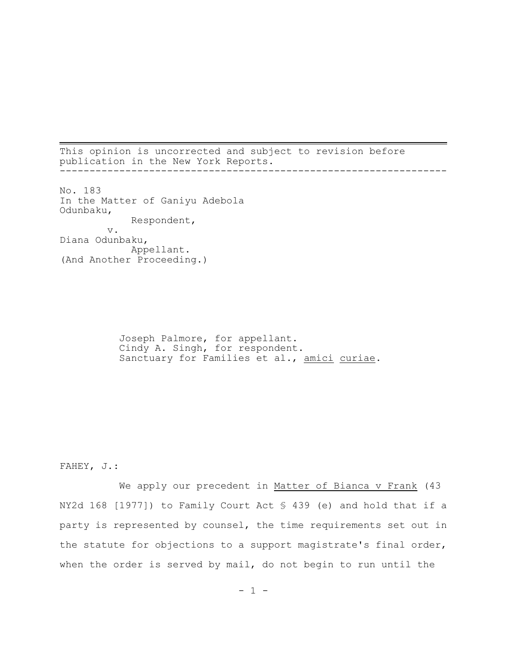This opinion is uncorrected and subject to revision before publication in the New York Reports. -----------------------------------------------------------------

No. 183 In the Matter of Ganiyu Adebola Odunbaku, Respondent, v. Diana Odunbaku, Appellant. (And Another Proceeding.)

> Joseph Palmore, for appellant. Cindy A. Singh, for respondent. Sanctuary for Families et al., amici curiae.

FAHEY, J.:

We apply our precedent in Matter of Bianca v Frank (43 NY2d 168 [1977]) to Family Court Act § 439 (e) and hold that if a party is represented by counsel, the time requirements set out in the statute for objections to a support magistrate's final order, when the order is served by mail, do not begin to run until the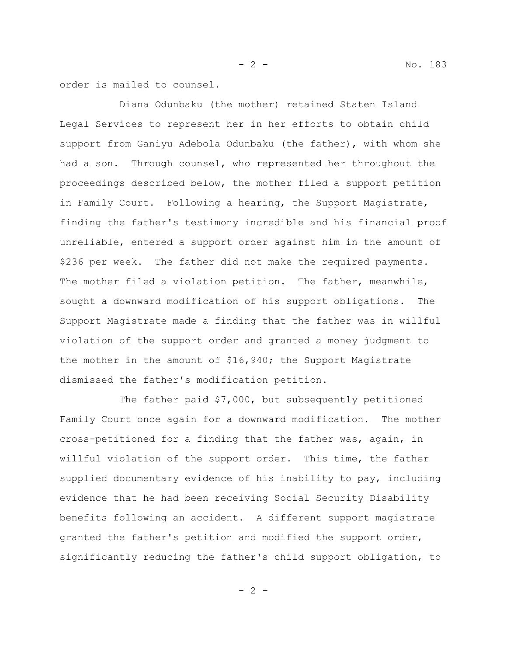order is mailed to counsel.

Diana Odunbaku (the mother) retained Staten Island Legal Services to represent her in her efforts to obtain child support from Ganiyu Adebola Odunbaku (the father), with whom she had a son. Through counsel, who represented her throughout the proceedings described below, the mother filed a support petition in Family Court. Following a hearing, the Support Magistrate, finding the father's testimony incredible and his financial proof unreliable, entered a support order against him in the amount of \$236 per week. The father did not make the required payments. The mother filed a violation petition. The father, meanwhile, sought a downward modification of his support obligations. The Support Magistrate made a finding that the father was in willful violation of the support order and granted a money judgment to the mother in the amount of \$16,940; the Support Magistrate dismissed the father's modification petition.

The father paid \$7,000, but subsequently petitioned Family Court once again for a downward modification. The mother cross-petitioned for a finding that the father was, again, in willful violation of the support order. This time, the father supplied documentary evidence of his inability to pay, including evidence that he had been receiving Social Security Disability benefits following an accident. A different support magistrate granted the father's petition and modified the support order, significantly reducing the father's child support obligation, to

 $- 2 -$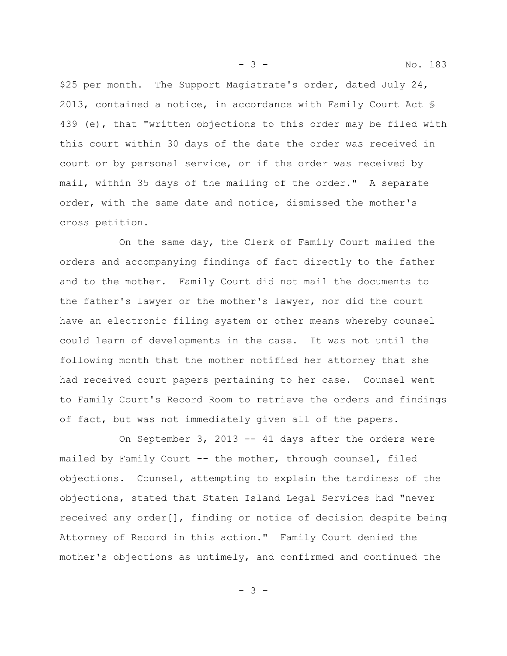\$25 per month. The Support Magistrate's order, dated July 24, 2013, contained a notice, in accordance with Family Court Act § 439 (e), that "written objections to this order may be filed with this court within 30 days of the date the order was received in court or by personal service, or if the order was received by mail, within 35 days of the mailing of the order." A separate order, with the same date and notice, dismissed the mother's cross petition.

On the same day, the Clerk of Family Court mailed the orders and accompanying findings of fact directly to the father and to the mother. Family Court did not mail the documents to the father's lawyer or the mother's lawyer, nor did the court have an electronic filing system or other means whereby counsel could learn of developments in the case. It was not until the following month that the mother notified her attorney that she had received court papers pertaining to her case. Counsel went to Family Court's Record Room to retrieve the orders and findings of fact, but was not immediately given all of the papers.

On September 3, 2013  $-$  41 days after the orders were mailed by Family Court -- the mother, through counsel, filed objections. Counsel, attempting to explain the tardiness of the objections, stated that Staten Island Legal Services had "never received any order[], finding or notice of decision despite being Attorney of Record in this action." Family Court denied the mother's objections as untimely, and confirmed and continued the

- 3 -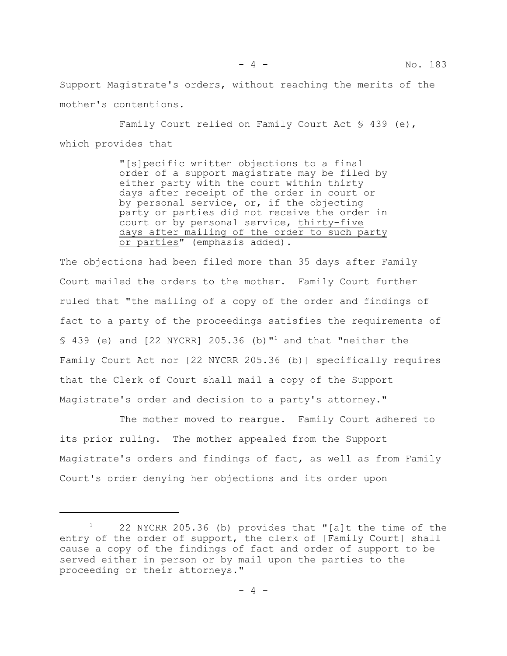Support Magistrate's orders, without reaching the merits of the mother's contentions.

Family Court relied on Family Court Act § 439 (e), which provides that

> "[s]pecific written objections to a final order of a support magistrate may be filed by either party with the court within thirty days after receipt of the order in court or by personal service, or, if the objecting party or parties did not receive the order in court or by personal service, thirty-five days after mailing of the order to such party or parties" (emphasis added).

The objections had been filed more than 35 days after Family Court mailed the orders to the mother. Family Court further ruled that "the mailing of a copy of the order and findings of fact to a party of the proceedings satisfies the requirements of § 439 (e) and [22 NYCRR] 205.36 (b)"<sup>1</sup> and that "neither the Family Court Act nor [22 NYCRR 205.36 (b)] specifically requires that the Clerk of Court shall mail a copy of the Support Magistrate's order and decision to a party's attorney."

The mother moved to reargue. Family Court adhered to its prior ruling. The mother appealed from the Support Magistrate's orders and findings of fact, as well as from Family Court's order denying her objections and its order upon

<sup>1</sup> 22 NYCRR 205.36 (b) provides that "[a]t the time of the entry of the order of support, the clerk of [Family Court] shall cause a copy of the findings of fact and order of support to be served either in person or by mail upon the parties to the proceeding or their attorneys."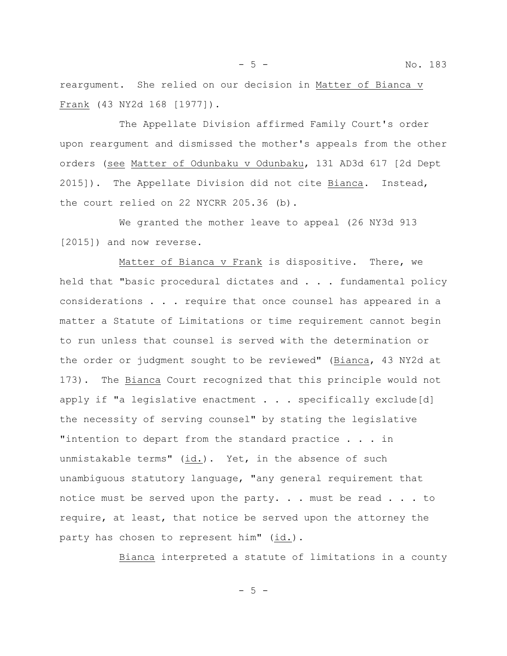- 5 - No. 183

reargument. She relied on our decision in Matter of Bianca v Frank (43 NY2d 168 [1977]).

The Appellate Division affirmed Family Court's order upon reargument and dismissed the mother's appeals from the other orders (see Matter of Odunbaku v Odunbaku, 131 AD3d 617 [2d Dept 2015]). The Appellate Division did not cite Bianca. Instead, the court relied on 22 NYCRR 205.36 (b).

We granted the mother leave to appeal (26 NY3d 913 [2015]) and now reverse.

Matter of Bianca v Frank is dispositive. There, we held that "basic procedural dictates and . . . fundamental policy considerations . . . require that once counsel has appeared in a matter a Statute of Limitations or time requirement cannot begin to run unless that counsel is served with the determination or the order or judgment sought to be reviewed" (Bianca, 43 NY2d at 173). The Bianca Court recognized that this principle would not apply if "a legislative enactment  $\ldots$  . specifically exclude[d] the necessity of serving counsel" by stating the legislative "intention to depart from the standard practice . . . in unmistakable terms"  $(id.)$ . Yet, in the absence of such unambiguous statutory language, "any general requirement that notice must be served upon the party. . . must be read . . . to require, at least, that notice be served upon the attorney the party has chosen to represent him" (id.).

Bianca interpreted a statute of limitations in a county

- 5 -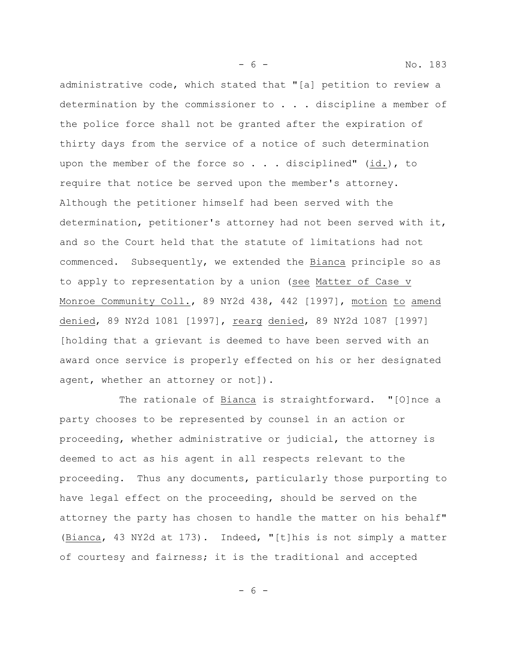administrative code, which stated that "[a] petition to review a determination by the commissioner to . . . discipline a member of the police force shall not be granted after the expiration of thirty days from the service of a notice of such determination upon the member of the force so . . . disciplined" (id.), to require that notice be served upon the member's attorney. Although the petitioner himself had been served with the determination, petitioner's attorney had not been served with it, and so the Court held that the statute of limitations had not commenced. Subsequently, we extended the Bianca principle so as to apply to representation by a union (see Matter of Case v Monroe Community Coll., 89 NY2d 438, 442 [1997], motion to amend denied, 89 NY2d 1081 [1997], rearg denied, 89 NY2d 1087 [1997] [holding that a grievant is deemed to have been served with an award once service is properly effected on his or her designated agent, whether an attorney or not]).

The rationale of Bianca is straightforward. "[O]nce a party chooses to be represented by counsel in an action or proceeding, whether administrative or judicial, the attorney is deemed to act as his agent in all respects relevant to the proceeding. Thus any documents, particularly those purporting to have legal effect on the proceeding, should be served on the attorney the party has chosen to handle the matter on his behalf" (Bianca, 43 NY2d at 173). Indeed, "[t]his is not simply a matter of courtesy and fairness; it is the traditional and accepted

- 6 -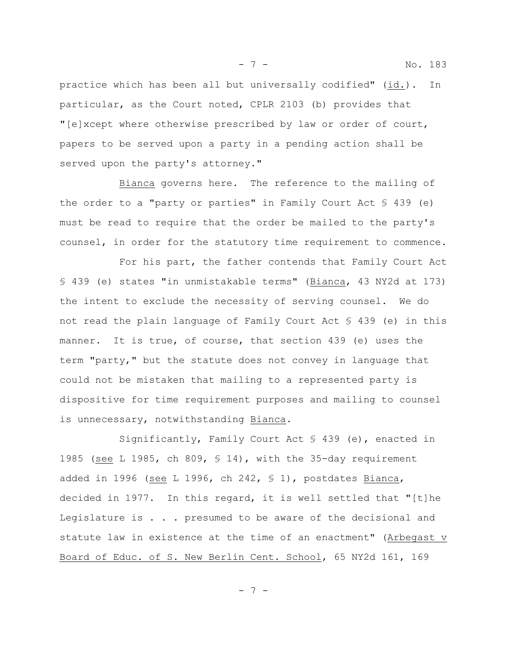practice which has been all but universally codified" (id.). In particular, as the Court noted, CPLR 2103 (b) provides that "[e]xcept where otherwise prescribed by law or order of court, papers to be served upon a party in a pending action shall be served upon the party's attorney."

Bianca governs here. The reference to the mailing of the order to a "party or parties" in Family Court Act  $\frac{1}{5}$  439 (e) must be read to require that the order be mailed to the party's counsel, in order for the statutory time requirement to commence.

For his part, the father contends that Family Court Act § 439 (e) states "in unmistakable terms" (Bianca, 43 NY2d at 173) the intent to exclude the necessity of serving counsel. We do not read the plain language of Family Court Act § 439 (e) in this manner. It is true, of course, that section 439 (e) uses the term "party," but the statute does not convey in language that could not be mistaken that mailing to a represented party is dispositive for time requirement purposes and mailing to counsel is unnecessary, notwithstanding Bianca.

Significantly, Family Court Act § 439 (e), enacted in 1985 (see L 1985, ch 809,  $\frac{1}{2}$  14), with the 35-day requirement added in 1996 (see L 1996, ch 242, § 1), postdates Bianca, decided in 1977. In this regard, it is well settled that "[t]he Legislature is . . . presumed to be aware of the decisional and statute law in existence at the time of an enactment" (Arbegast v Board of Educ. of S. New Berlin Cent. School, 65 NY2d 161, 169

- 7 -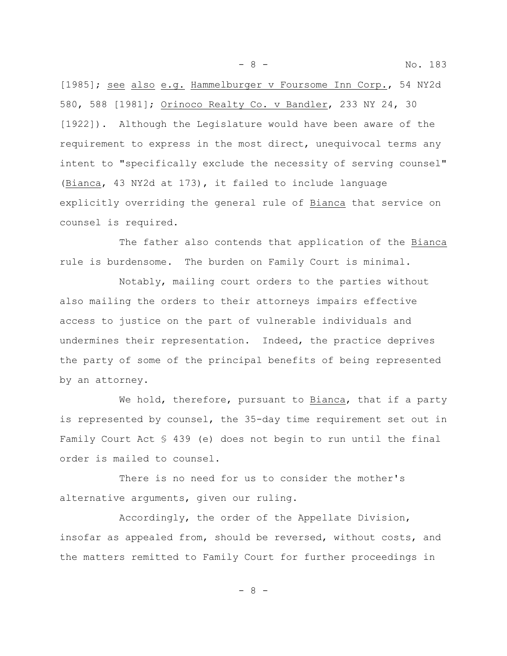- 8 - No. 183

[1985]; see also e.g. Hammelburger v Foursome Inn Corp., 54 NY2d 580, 588 [1981]; Orinoco Realty Co. v Bandler, 233 NY 24, 30 [1922]). Although the Legislature would have been aware of the requirement to express in the most direct, unequivocal terms any intent to "specifically exclude the necessity of serving counsel" (Bianca, 43 NY2d at 173), it failed to include language explicitly overriding the general rule of Bianca that service on counsel is required.

The father also contends that application of the Bianca rule is burdensome. The burden on Family Court is minimal.

Notably, mailing court orders to the parties without also mailing the orders to their attorneys impairs effective access to justice on the part of vulnerable individuals and undermines their representation. Indeed, the practice deprives the party of some of the principal benefits of being represented by an attorney.

We hold, therefore, pursuant to Bianca, that if a party is represented by counsel, the 35-day time requirement set out in Family Court Act § 439 (e) does not begin to run until the final order is mailed to counsel.

There is no need for us to consider the mother's alternative arguments, given our ruling.

Accordingly, the order of the Appellate Division, insofar as appealed from, should be reversed, without costs, and the matters remitted to Family Court for further proceedings in

- 8 -